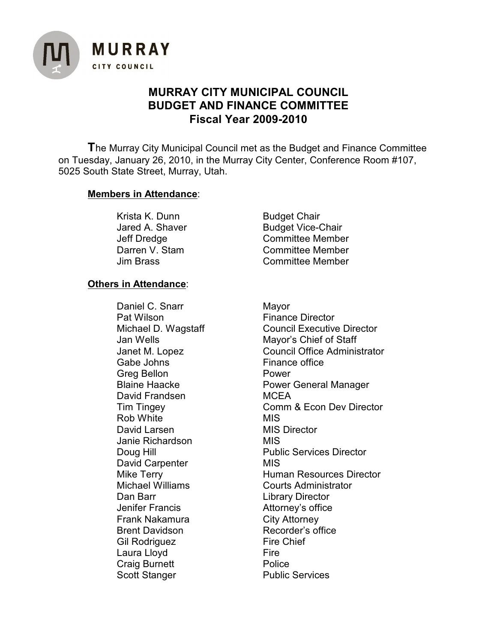

# **MURRAY CITY MUNICIPAL COUNCIL BUDGET AND FINANCE COMMITTEE Fiscal Year 2009-2010**

**T**he Murray City Municipal Council met as the Budget and Finance Committee on Tuesday, January 26, 2010, in the Murray City Center, Conference Room #107, 5025 South State Street, Murray, Utah.

# **Members in Attendance**:

Krista K. Dunn Budget Chair

Jared A. Shaver Budget Vice-Chair Jeff Dredge Committee Member Darren V. Stam Committee Member Jim Brass Committee Member

# **Others in Attendance**:

Daniel C. Snarr Mayor Pat Wilson **Finance Director** Gabe Johns **Finance office** Greg Bellon **Power** David Frandsen MCEA Rob White **MIS** David Larsen MIS Director Janie Richardson MIS David Carpenter MIS Dan Barr **Library Director** Jenifer Francis **Attorney's office** Frank Nakamura City Attorney Brent Davidson Recorder's office Gil Rodriguez Fire Chief Laura Lloyd **Fire** Craig Burnett **Police** Scott Stanger **Public Services** 

Michael D. Wagstaff Council Executive Director Jan Wells Mayor's Chief of Staff Janet M. Lopez Council Office Administrator Blaine Haacke **Power General Manager** Tim Tingey **Comm & Econ Dev Director** Doug Hill **Public Services Director** Mike Terry **Mike Terry 19 Example 20** Human Resources Director Michael Williams Courts Administrator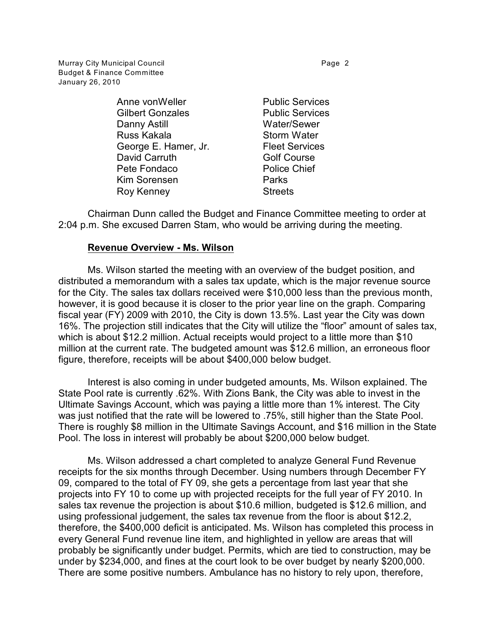Murray City Municipal Council **Accord Page 2** Budget & Finance Committee January 26, 2010

> Anne von Weller **Public Services** Gilbert Gonzales **Public Services** Danny Astill Water/Sewer Russ Kakala New Storm Water George E. Hamer, Jr. Fleet Services David Carruth Golf Course Pete Fondaco **Police Chief** Kim Sorensen **Parks** Roy Kenney **Streets**

Chairman Dunn called the Budget and Finance Committee meeting to order at 2:04 p.m. She excused Darren Stam, who would be arriving during the meeting.

### **Revenue Overview - Ms. Wilson**

Ms. Wilson started the meeting with an overview of the budget position, and distributed a memorandum with a sales tax update, which is the major revenue source for the City. The sales tax dollars received were \$10,000 less than the previous month, however, it is good because it is closer to the prior year line on the graph. Comparing fiscal year (FY) 2009 with 2010, the City is down 13.5%. Last year the City was down 16%. The projection still indicates that the City will utilize the "floor" amount of sales tax, which is about \$12.2 million. Actual receipts would project to a little more than \$10 million at the current rate. The budgeted amount was \$12.6 million, an erroneous floor figure, therefore, receipts will be about \$400,000 below budget.

Interest is also coming in under budgeted amounts, Ms. Wilson explained. The State Pool rate is currently .62%. With Zions Bank, the City was able to invest in the Ultimate Savings Account, which was paying a little more than 1% interest. The City was just notified that the rate will be lowered to .75%, still higher than the State Pool. There is roughly \$8 million in the Ultimate Savings Account, and \$16 million in the State Pool. The loss in interest will probably be about \$200,000 below budget.

Ms. Wilson addressed a chart completed to analyze General Fund Revenue receipts for the six months through December. Using numbers through December FY 09, compared to the total of FY 09, she gets a percentage from last year that she projects into FY 10 to come up with projected receipts for the full year of FY 2010. In sales tax revenue the projection is about \$10.6 million, budgeted is \$12.6 million, and using professional judgement, the sales tax revenue from the floor is about \$12.2, therefore, the \$400,000 deficit is anticipated. Ms. Wilson has completed this process in every General Fund revenue line item, and highlighted in yellow are areas that will probably be significantly under budget. Permits, which are tied to construction, may be under by \$234,000, and fines at the court look to be over budget by nearly \$200,000. There are some positive numbers. Ambulance has no history to rely upon, therefore,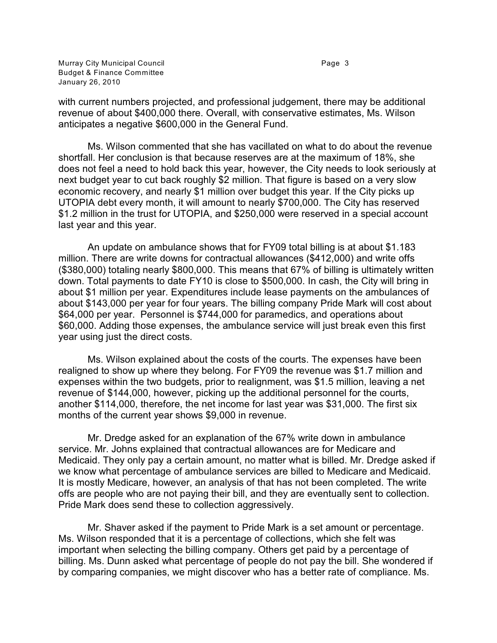Murray City Municipal Council **Accord 2018** Page 3 Budget & Finance Committee January 26, 2010

with current numbers projected, and professional judgement, there may be additional revenue of about \$400,000 there. Overall, with conservative estimates, Ms. Wilson anticipates a negative \$600,000 in the General Fund.

Ms. Wilson commented that she has vacillated on what to do about the revenue shortfall. Her conclusion is that because reserves are at the maximum of 18%, she does not feel a need to hold back this year, however, the City needs to look seriously at next budget year to cut back roughly \$2 million. That figure is based on a very slow economic recovery, and nearly \$1 million over budget this year. If the City picks up UTOPIA debt every month, it will amount to nearly \$700,000. The City has reserved \$1.2 million in the trust for UTOPIA, and \$250,000 were reserved in a special account last year and this year.

An update on ambulance shows that for FY09 total billing is at about \$1.183 million. There are write downs for contractual allowances (\$412,000) and write offs (\$380,000) totaling nearly \$800,000. This means that 67% of billing is ultimately written down. Total payments to date FY10 is close to \$500,000. In cash, the City will bring in about \$1 million per year. Expenditures include lease payments on the ambulances of about \$143,000 per year for four years. The billing company Pride Mark will cost about \$64,000 per year. Personnel is \$744,000 for paramedics, and operations about \$60,000. Adding those expenses, the ambulance service will just break even this first year using just the direct costs.

Ms. Wilson explained about the costs of the courts. The expenses have been realigned to show up where they belong. For FY09 the revenue was \$1.7 million and expenses within the two budgets, prior to realignment, was \$1.5 million, leaving a net revenue of \$144,000, however, picking up the additional personnel for the courts, another \$114,000, therefore, the net income for last year was \$31,000. The first six months of the current year shows \$9,000 in revenue.

Mr. Dredge asked for an explanation of the 67% write down in ambulance service. Mr. Johns explained that contractual allowances are for Medicare and Medicaid. They only pay a certain amount, no matter what is billed. Mr. Dredge asked if we know what percentage of ambulance services are billed to Medicare and Medicaid. It is mostly Medicare, however, an analysis of that has not been completed. The write offs are people who are not paying their bill, and they are eventually sent to collection. Pride Mark does send these to collection aggressively.

Mr. Shaver asked if the payment to Pride Mark is a set amount or percentage. Ms. Wilson responded that it is a percentage of collections, which she felt was important when selecting the billing company. Others get paid by a percentage of billing. Ms. Dunn asked what percentage of people do not pay the bill. She wondered if by comparing companies, we might discover who has a better rate of compliance. Ms.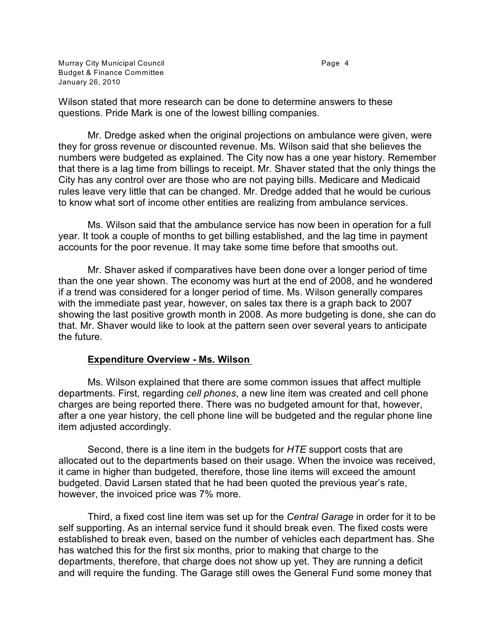Murray City Municipal Council **Accord Page 4** Budget & Finance Committee January 26, 2010

Wilson stated that more research can be done to determine answers to these questions. Pride Mark is one of the lowest billing companies.

Mr. Dredge asked when the original projections on ambulance were given, were they for gross revenue or discounted revenue. Ms. Wilson said that she believes the numbers were budgeted as explained. The City now has a one year history. Remember that there is a lag time from billings to receipt. Mr. Shaver stated that the only things the City has any control over are those who are not paying bills. Medicare and Medicaid rules leave very little that can be changed. Mr. Dredge added that he would be curious to know what sort of income other entities are realizing from ambulance services.

Ms. Wilson said that the ambulance service has now been in operation for a full year. It took a couple of months to get billing established, and the lag time in payment accounts for the poor revenue. It may take some time before that smooths out.

Mr. Shaver asked if comparatives have been done over a longer period of time than the one year shown. The economy was hurt at the end of 2008, and he wondered if a trend was considered for a longer period of time. Ms. Wilson generally compares with the immediate past year, however, on sales tax there is a graph back to 2007 showing the last positive growth month in 2008. As more budgeting is done, she can do that. Mr. Shaver would like to look at the pattern seen over several years to anticipate the future.

#### **Expenditure Overview - Ms. Wilson**

Ms. Wilson explained that there are some common issues that affect multiple departments. First, regarding *cell phones*, a new line item was created and cell phone charges are being reported there. There was no budgeted amount for that, however, after a one year history, the cell phone line will be budgeted and the regular phone line item adjusted accordingly.

Second, there is a line item in the budgets for *HTE* support costs that are allocated out to the departments based on their usage. When the invoice was received, it came in higher than budgeted, therefore, those line items will exceed the amount budgeted. David Larsen stated that he had been quoted the previous year's rate, however, the invoiced price was 7% more.

Third, a fixed cost line item was set up for the *Central Garage* in order for it to be self supporting. As an internal service fund it should break even. The fixed costs were established to break even, based on the number of vehicles each department has. She has watched this for the first six months, prior to making that charge to the departments, therefore, that charge does not show up yet. They are running a deficit and will require the funding. The Garage still owes the General Fund some money that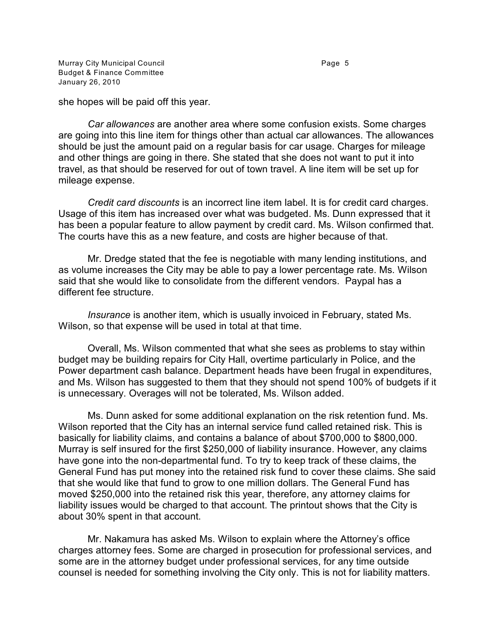Murray City Municipal Council **Accord Page 5** Budget & Finance Committee January 26, 2010

she hopes will be paid off this year.

*Car allowances* are another area where some confusion exists. Some charges are going into this line item for things other than actual car allowances. The allowances should be just the amount paid on a regular basis for car usage. Charges for mileage and other things are going in there. She stated that she does not want to put it into travel, as that should be reserved for out of town travel. A line item will be set up for mileage expense.

*Credit card discounts* is an incorrect line item label. It is for credit card charges. Usage of this item has increased over what was budgeted. Ms. Dunn expressed that it has been a popular feature to allow payment by credit card. Ms. Wilson confirmed that. The courts have this as a new feature, and costs are higher because of that.

Mr. Dredge stated that the fee is negotiable with many lending institutions, and as volume increases the City may be able to pay a lower percentage rate. Ms. Wilson said that she would like to consolidate from the different vendors. Paypal has a different fee structure.

*Insurance* is another item, which is usually invoiced in February, stated Ms. Wilson, so that expense will be used in total at that time.

Overall, Ms. Wilson commented that what she sees as problems to stay within budget may be building repairs for City Hall, overtime particularly in Police, and the Power department cash balance. Department heads have been frugal in expenditures, and Ms. Wilson has suggested to them that they should not spend 100% of budgets if it is unnecessary. Overages will not be tolerated, Ms. Wilson added.

Ms. Dunn asked for some additional explanation on the risk retention fund. Ms. Wilson reported that the City has an internal service fund called retained risk. This is basically for liability claims, and contains a balance of about \$700,000 to \$800,000. Murray is self insured for the first \$250,000 of liability insurance. However, any claims have gone into the non-departmental fund. To try to keep track of these claims, the General Fund has put money into the retained risk fund to cover these claims. She said that she would like that fund to grow to one million dollars. The General Fund has moved \$250,000 into the retained risk this year, therefore, any attorney claims for liability issues would be charged to that account. The printout shows that the City is about 30% spent in that account.

Mr. Nakamura has asked Ms. Wilson to explain where the Attorney's office charges attorney fees. Some are charged in prosecution for professional services, and some are in the attorney budget under professional services, for any time outside counsel is needed for something involving the City only. This is not for liability matters.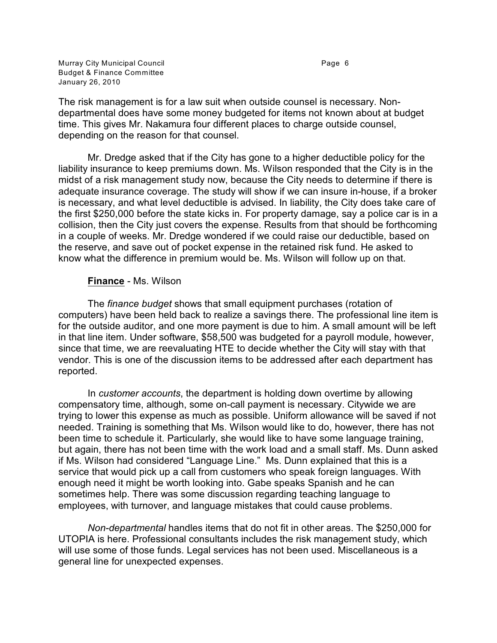Murray City Municipal Council **Access 1986** Page 6 Budget & Finance Committee January 26, 2010

The risk management is for a law suit when outside counsel is necessary. Nondepartmental does have some money budgeted for items not known about at budget time. This gives Mr. Nakamura four different places to charge outside counsel, depending on the reason for that counsel.

Mr. Dredge asked that if the City has gone to a higher deductible policy for the liability insurance to keep premiums down. Ms. Wilson responded that the City is in the midst of a risk management study now, because the City needs to determine if there is adequate insurance coverage. The study will show if we can insure in-house, if a broker is necessary, and what level deductible is advised. In liability, the City does take care of the first \$250,000 before the state kicks in. For property damage, say a police car is in a collision, then the City just covers the expense. Results from that should be forthcoming in a couple of weeks. Mr. Dredge wondered if we could raise our deductible, based on the reserve, and save out of pocket expense in the retained risk fund. He asked to know what the difference in premium would be. Ms. Wilson will follow up on that.

### **Finance** - Ms. Wilson

The *finance budget* shows that small equipment purchases (rotation of computers) have been held back to realize a savings there. The professional line item is for the outside auditor, and one more payment is due to him. A small amount will be left in that line item. Under software, \$58,500 was budgeted for a payroll module, however, since that time, we are reevaluating HTE to decide whether the City will stay with that vendor. This is one of the discussion items to be addressed after each department has reported.

In *customer accounts*, the department is holding down overtime by allowing compensatory time, although, some on-call payment is necessary. Citywide we are trying to lower this expense as much as possible. Uniform allowance will be saved if not needed. Training is something that Ms. Wilson would like to do, however, there has not been time to schedule it. Particularly, she would like to have some language training, but again, there has not been time with the work load and a small staff. Ms. Dunn asked if Ms. Wilson had considered "Language Line." Ms. Dunn explained that this is a service that would pick up a call from customers who speak foreign languages. With enough need it might be worth looking into. Gabe speaks Spanish and he can sometimes help. There was some discussion regarding teaching language to employees, with turnover, and language mistakes that could cause problems.

*Non-departmental* handles items that do not fit in other areas. The \$250,000 for UTOPIA is here. Professional consultants includes the risk management study, which will use some of those funds. Legal services has not been used. Miscellaneous is a general line for unexpected expenses.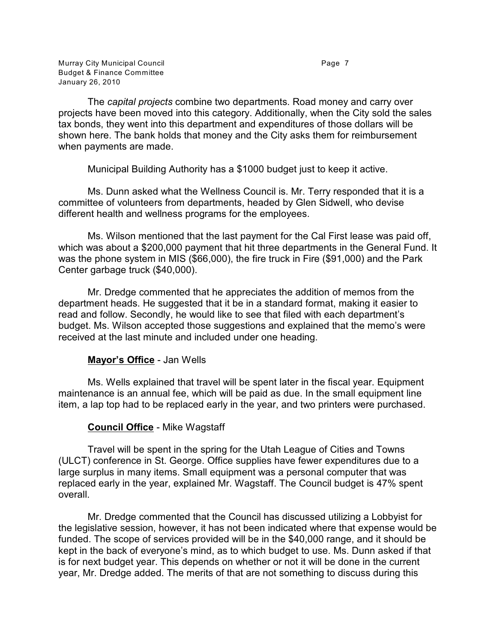Murray City Municipal Council **Accord Page 7** Accord Page 7 Budget & Finance Committee January 26, 2010

The *capital projects* combine two departments. Road money and carry over projects have been moved into this category. Additionally, when the City sold the sales tax bonds, they went into this department and expenditures of those dollars will be shown here. The bank holds that money and the City asks them for reimbursement when payments are made.

Municipal Building Authority has a \$1000 budget just to keep it active.

Ms. Dunn asked what the Wellness Council is. Mr. Terry responded that it is a committee of volunteers from departments, headed by Glen Sidwell, who devise different health and wellness programs for the employees.

Ms. Wilson mentioned that the last payment for the Cal First lease was paid off, which was about a \$200,000 payment that hit three departments in the General Fund. It was the phone system in MIS (\$66,000), the fire truck in Fire (\$91,000) and the Park Center garbage truck (\$40,000).

Mr. Dredge commented that he appreciates the addition of memos from the department heads. He suggested that it be in a standard format, making it easier to read and follow. Secondly, he would like to see that filed with each department's budget. Ms. Wilson accepted those suggestions and explained that the memo's were received at the last minute and included under one heading.

# **Mayor's Office** - Jan Wells

Ms. Wells explained that travel will be spent later in the fiscal year. Equipment maintenance is an annual fee, which will be paid as due. In the small equipment line item, a lap top had to be replaced early in the year, and two printers were purchased.

# **Council Office** - Mike Wagstaff

Travel will be spent in the spring for the Utah League of Cities and Towns (ULCT) conference in St. George. Office supplies have fewer expenditures due to a large surplus in many items. Small equipment was a personal computer that was replaced early in the year, explained Mr. Wagstaff. The Council budget is 47% spent overall.

Mr. Dredge commented that the Council has discussed utilizing a Lobbyist for the legislative session, however, it has not been indicated where that expense would be funded. The scope of services provided will be in the \$40,000 range, and it should be kept in the back of everyone's mind, as to which budget to use. Ms. Dunn asked if that is for next budget year. This depends on whether or not it will be done in the current year, Mr. Dredge added. The merits of that are not something to discuss during this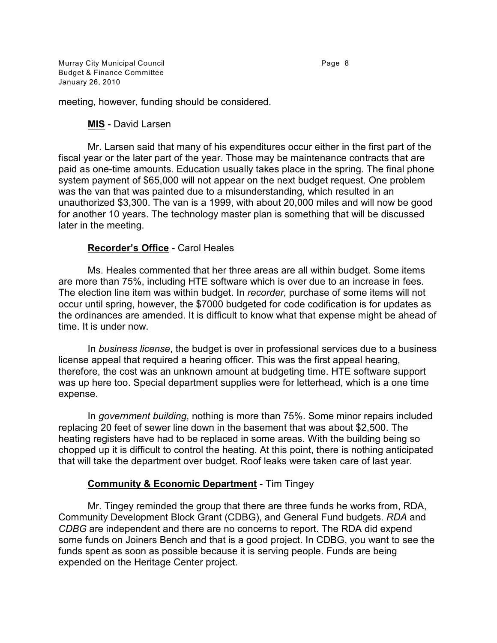Murray City Municipal Council **Accord Page 8** Page 8 Budget & Finance Committee January 26, 2010

meeting, however, funding should be considered.

### **MIS** - David Larsen

Mr. Larsen said that many of his expenditures occur either in the first part of the fiscal year or the later part of the year. Those may be maintenance contracts that are paid as one-time amounts. Education usually takes place in the spring. The final phone system payment of \$65,000 will not appear on the next budget request. One problem was the van that was painted due to a misunderstanding, which resulted in an unauthorized \$3,300. The van is a 1999, with about 20,000 miles and will now be good for another 10 years. The technology master plan is something that will be discussed later in the meeting.

# **Recorder's Office** - Carol Heales

Ms. Heales commented that her three areas are all within budget. Some items are more than 75%, including HTE software which is over due to an increase in fees. The election line item was within budget. In *recorder,* purchase of some items will not occur until spring, however, the \$7000 budgeted for code codification is for updates as the ordinances are amended. It is difficult to know what that expense might be ahead of time. It is under now.

In *business license*, the budget is over in professional services due to a business license appeal that required a hearing officer. This was the first appeal hearing, therefore, the cost was an unknown amount at budgeting time. HTE software support was up here too. Special department supplies were for letterhead, which is a one time expense.

In *government building*, nothing is more than 75%. Some minor repairs included replacing 20 feet of sewer line down in the basement that was about \$2,500. The heating registers have had to be replaced in some areas. With the building being so chopped up it is difficult to control the heating. At this point, there is nothing anticipated that will take the department over budget. Roof leaks were taken care of last year.

#### **Community & Economic Department** - Tim Tingey

Mr. Tingey reminded the group that there are three funds he works from, RDA, Community Development Block Grant (CDBG), and General Fund budgets. *RDA* and *CDBG* are independent and there are no concerns to report. The RDA did expend some funds on Joiners Bench and that is a good project. In CDBG, you want to see the funds spent as soon as possible because it is serving people. Funds are being expended on the Heritage Center project.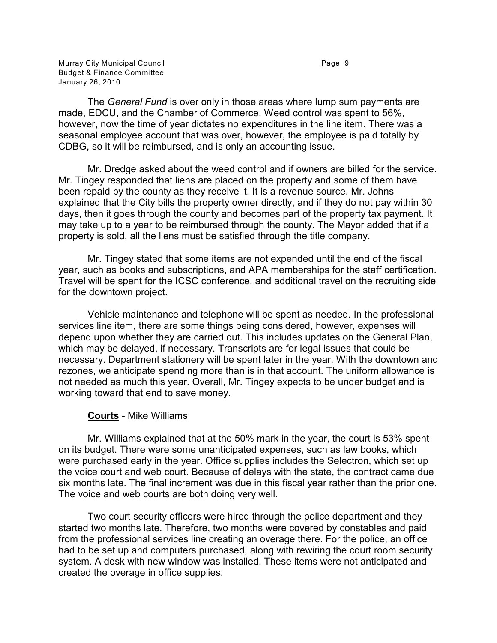Murray City Municipal Council **Accord Page 9** Page 9 Budget & Finance Committee January 26, 2010

The *General Fund* is over only in those areas where lump sum payments are made, EDCU, and the Chamber of Commerce. Weed control was spent to 56%, however, now the time of year dictates no expenditures in the line item. There was a seasonal employee account that was over, however, the employee is paid totally by CDBG, so it will be reimbursed, and is only an accounting issue.

Mr. Dredge asked about the weed control and if owners are billed for the service. Mr. Tingey responded that liens are placed on the property and some of them have been repaid by the county as they receive it. It is a revenue source. Mr. Johns explained that the City bills the property owner directly, and if they do not pay within 30 days, then it goes through the county and becomes part of the property tax payment. It may take up to a year to be reimbursed through the county. The Mayor added that if a property is sold, all the liens must be satisfied through the title company.

Mr. Tingey stated that some items are not expended until the end of the fiscal year, such as books and subscriptions, and APA memberships for the staff certification. Travel will be spent for the ICSC conference, and additional travel on the recruiting side for the downtown project.

Vehicle maintenance and telephone will be spent as needed. In the professional services line item, there are some things being considered, however, expenses will depend upon whether they are carried out. This includes updates on the General Plan, which may be delayed, if necessary. Transcripts are for legal issues that could be necessary. Department stationery will be spent later in the year. With the downtown and rezones, we anticipate spending more than is in that account. The uniform allowance is not needed as much this year. Overall, Mr. Tingey expects to be under budget and is working toward that end to save money.

#### **Courts** - Mike Williams

Mr. Williams explained that at the 50% mark in the year, the court is 53% spent on its budget. There were some unanticipated expenses, such as law books, which were purchased early in the year. Office supplies includes the Selectron, which set up the voice court and web court. Because of delays with the state, the contract came due six months late. The final increment was due in this fiscal year rather than the prior one. The voice and web courts are both doing very well.

Two court security officers were hired through the police department and they started two months late. Therefore, two months were covered by constables and paid from the professional services line creating an overage there. For the police, an office had to be set up and computers purchased, along with rewiring the court room security system. A desk with new window was installed. These items were not anticipated and created the overage in office supplies.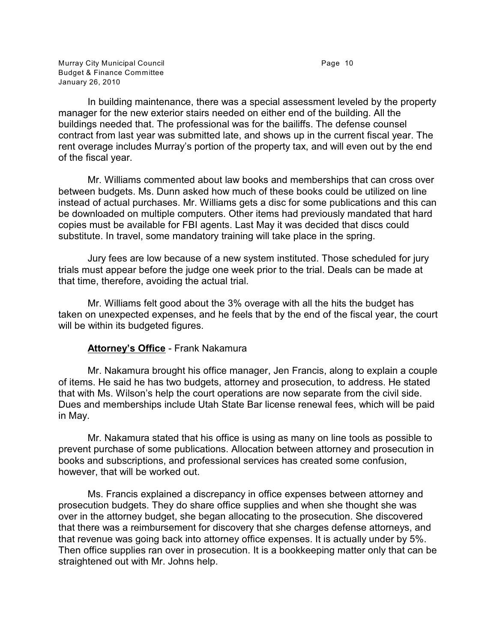Murray City Municipal Council **Accord Page 10** Budget & Finance Committee January 26, 2010

In building maintenance, there was a special assessment leveled by the property manager for the new exterior stairs needed on either end of the building. All the buildings needed that. The professional was for the bailiffs. The defense counsel contract from last year was submitted late, and shows up in the current fiscal year. The rent overage includes Murray's portion of the property tax, and will even out by the end of the fiscal year.

Mr. Williams commented about law books and memberships that can cross over between budgets. Ms. Dunn asked how much of these books could be utilized on line instead of actual purchases. Mr. Williams gets a disc for some publications and this can be downloaded on multiple computers. Other items had previously mandated that hard copies must be available for FBI agents. Last May it was decided that discs could substitute. In travel, some mandatory training will take place in the spring.

Jury fees are low because of a new system instituted. Those scheduled for jury trials must appear before the judge one week prior to the trial. Deals can be made at that time, therefore, avoiding the actual trial.

Mr. Williams felt good about the 3% overage with all the hits the budget has taken on unexpected expenses, and he feels that by the end of the fiscal year, the court will be within its budgeted figures.

# **Attorney's Office** - Frank Nakamura

Mr. Nakamura brought his office manager, Jen Francis, along to explain a couple of items. He said he has two budgets, attorney and prosecution, to address. He stated that with Ms. Wilson's help the court operations are now separate from the civil side. Dues and memberships include Utah State Bar license renewal fees, which will be paid in May.

Mr. Nakamura stated that his office is using as many on line tools as possible to prevent purchase of some publications. Allocation between attorney and prosecution in books and subscriptions, and professional services has created some confusion, however, that will be worked out.

Ms. Francis explained a discrepancy in office expenses between attorney and prosecution budgets. They do share office supplies and when she thought she was over in the attorney budget, she began allocating to the prosecution. She discovered that there was a reimbursement for discovery that she charges defense attorneys, and that revenue was going back into attorney office expenses. It is actually under by 5%. Then office supplies ran over in prosecution. It is a bookkeeping matter only that can be straightened out with Mr. Johns help.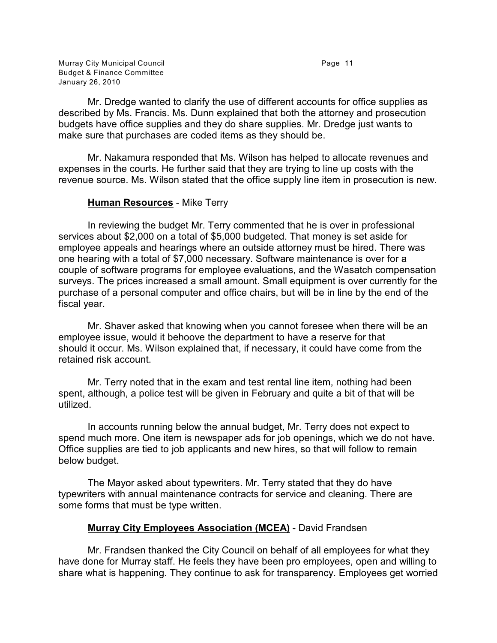Murray City Municipal Council **Accord Page 11** Budget & Finance Committee January 26, 2010

Mr. Dredge wanted to clarify the use of different accounts for office supplies as described by Ms. Francis. Ms. Dunn explained that both the attorney and prosecution budgets have office supplies and they do share supplies. Mr. Dredge just wants to make sure that purchases are coded items as they should be.

Mr. Nakamura responded that Ms. Wilson has helped to allocate revenues and expenses in the courts. He further said that they are trying to line up costs with the revenue source. Ms. Wilson stated that the office supply line item in prosecution is new.

### **Human Resources** - Mike Terry

In reviewing the budget Mr. Terry commented that he is over in professional services about \$2,000 on a total of \$5,000 budgeted. That money is set aside for employee appeals and hearings where an outside attorney must be hired. There was one hearing with a total of \$7,000 necessary. Software maintenance is over for a couple of software programs for employee evaluations, and the Wasatch compensation surveys. The prices increased a small amount. Small equipment is over currently for the purchase of a personal computer and office chairs, but will be in line by the end of the fiscal year.

Mr. Shaver asked that knowing when you cannot foresee when there will be an employee issue, would it behoove the department to have a reserve for that should it occur. Ms. Wilson explained that, if necessary, it could have come from the retained risk account.

Mr. Terry noted that in the exam and test rental line item, nothing had been spent, although, a police test will be given in February and quite a bit of that will be utilized.

In accounts running below the annual budget, Mr. Terry does not expect to spend much more. One item is newspaper ads for job openings, which we do not have. Office supplies are tied to job applicants and new hires, so that will follow to remain below budget.

The Mayor asked about typewriters. Mr. Terry stated that they do have typewriters with annual maintenance contracts for service and cleaning. There are some forms that must be type written.

# **Murray City Employees Association (MCEA)** - David Frandsen

Mr. Frandsen thanked the City Council on behalf of all employees for what they have done for Murray staff. He feels they have been pro employees, open and willing to share what is happening. They continue to ask for transparency. Employees get worried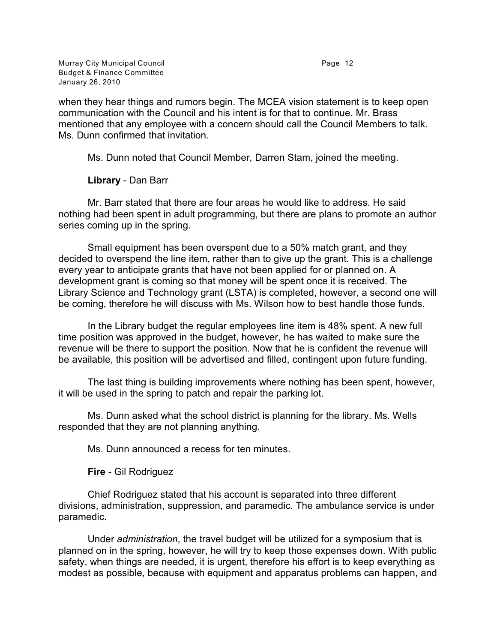Murray City Municipal Council **Accord Page 12** Page 12 Budget & Finance Committee January 26, 2010

when they hear things and rumors begin. The MCEA vision statement is to keep open communication with the Council and his intent is for that to continue. Mr. Brass mentioned that any employee with a concern should call the Council Members to talk. Ms. Dunn confirmed that invitation.

Ms. Dunn noted that Council Member, Darren Stam, joined the meeting.

# **Library** - Dan Barr

Mr. Barr stated that there are four areas he would like to address. He said nothing had been spent in adult programming, but there are plans to promote an author series coming up in the spring.

Small equipment has been overspent due to a 50% match grant, and they decided to overspend the line item, rather than to give up the grant. This is a challenge every year to anticipate grants that have not been applied for or planned on. A development grant is coming so that money will be spent once it is received. The Library Science and Technology grant (LSTA) is completed, however, a second one will be coming, therefore he will discuss with Ms. Wilson how to best handle those funds.

In the Library budget the regular employees line item is 48% spent. A new full time position was approved in the budget, however, he has waited to make sure the revenue will be there to support the position. Now that he is confident the revenue will be available, this position will be advertised and filled, contingent upon future funding.

The last thing is building improvements where nothing has been spent, however, it will be used in the spring to patch and repair the parking lot.

Ms. Dunn asked what the school district is planning for the library. Ms. Wells responded that they are not planning anything.

Ms. Dunn announced a recess for ten minutes.

**Fire** - Gil Rodriguez

Chief Rodriguez stated that his account is separated into three different divisions, administration, suppression, and paramedic. The ambulance service is under paramedic.

Under *administration*, the travel budget will be utilized for a symposium that is planned on in the spring, however, he will try to keep those expenses down. With public safety, when things are needed, it is urgent, therefore his effort is to keep everything as modest as possible, because with equipment and apparatus problems can happen, and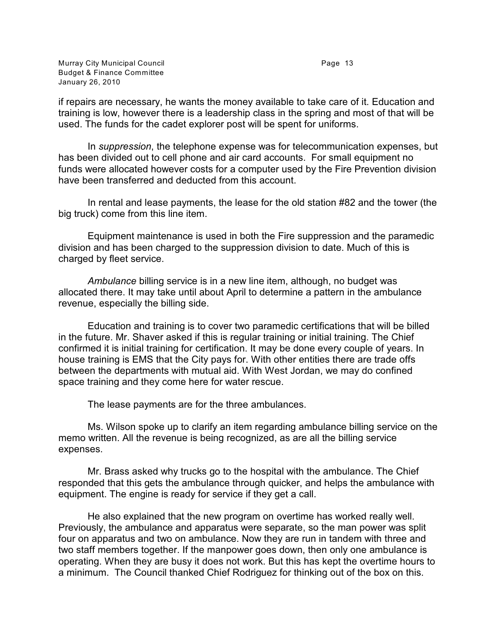Murray City Municipal Council **Accord Page 13** Budget & Finance Committee January 26, 2010

if repairs are necessary, he wants the money available to take care of it. Education and training is low, however there is a leadership class in the spring and most of that will be used. The funds for the cadet explorer post will be spent for uniforms.

In *suppression*, the telephone expense was for telecommunication expenses, but has been divided out to cell phone and air card accounts. For small equipment no funds were allocated however costs for a computer used by the Fire Prevention division have been transferred and deducted from this account.

In rental and lease payments, the lease for the old station #82 and the tower (the big truck) come from this line item.

Equipment maintenance is used in both the Fire suppression and the paramedic division and has been charged to the suppression division to date. Much of this is charged by fleet service.

*Ambulance* billing service is in a new line item, although, no budget was allocated there. It may take until about April to determine a pattern in the ambulance revenue, especially the billing side.

Education and training is to cover two paramedic certifications that will be billed in the future. Mr. Shaver asked if this is regular training or initial training. The Chief confirmed it is initial training for certification. It may be done every couple of years. In house training is EMS that the City pays for. With other entities there are trade offs between the departments with mutual aid. With West Jordan, we may do confined space training and they come here for water rescue.

The lease payments are for the three ambulances.

Ms. Wilson spoke up to clarify an item regarding ambulance billing service on the memo written. All the revenue is being recognized, as are all the billing service expenses.

Mr. Brass asked why trucks go to the hospital with the ambulance. The Chief responded that this gets the ambulance through quicker, and helps the ambulance with equipment. The engine is ready for service if they get a call.

He also explained that the new program on overtime has worked really well. Previously, the ambulance and apparatus were separate, so the man power was split four on apparatus and two on ambulance. Now they are run in tandem with three and two staff members together. If the manpower goes down, then only one ambulance is operating. When they are busy it does not work. But this has kept the overtime hours to a minimum. The Council thanked Chief Rodriguez for thinking out of the box on this.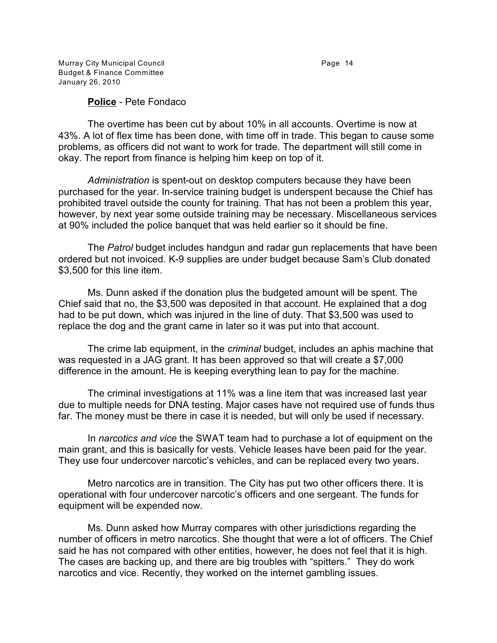Murray City Municipal Council **Accord Page 14** Budget & Finance Committee January 26, 2010

#### **Police** - Pete Fondaco

The overtime has been cut by about 10% in all accounts. Overtime is now at 43%. A lot of flex time has been done, with time off in trade. This began to cause some problems, as officers did not want to work for trade. The department will still come in okay. The report from finance is helping him keep on top of it.

*Administration* is spent-out on desktop computers because they have been purchased for the year. In-service training budget is underspent because the Chief has prohibited travel outside the county for training. That has not been a problem this year, however, by next year some outside training may be necessary. Miscellaneous services at 90% included the police banquet that was held earlier so it should be fine.

The *Patrol* budget includes handgun and radar gun replacements that have been ordered but not invoiced. K-9 supplies are under budget because Sam's Club donated \$3,500 for this line item.

Ms. Dunn asked if the donation plus the budgeted amount will be spent. The Chief said that no, the \$3,500 was deposited in that account. He explained that a dog had to be put down, which was injured in the line of duty. That \$3,500 was used to replace the dog and the grant came in later so it was put into that account.

The crime lab equipment, in the *criminal* budget, includes an aphis machine that was requested in a JAG grant. It has been approved so that will create a \$7,000 difference in the amount. He is keeping everything lean to pay for the machine.

The criminal investigations at 11% was a line item that was increased last year due to multiple needs for DNA testing. Major cases have not required use of funds thus far. The money must be there in case it is needed, but will only be used if necessary.

In *narcotics and vice* the SWAT team had to purchase a lot of equipment on the main grant, and this is basically for vests. Vehicle leases have been paid for the year. They use four undercover narcotic's vehicles, and can be replaced every two years.

Metro narcotics are in transition. The City has put two other officers there. It is operational with four undercover narcotic's officers and one sergeant. The funds for equipment will be expended now.

Ms. Dunn asked how Murray compares with other jurisdictions regarding the number of officers in metro narcotics. She thought that were a lot of officers. The Chief said he has not compared with other entities, however, he does not feel that it is high. The cases are backing up, and there are big troubles with "spitters." They do work narcotics and vice. Recently, they worked on the internet gambling issues.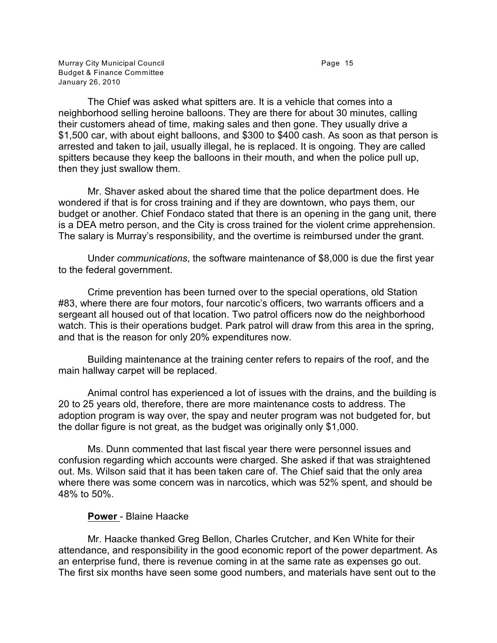Murray City Municipal Council **Accord Page 15** Budget & Finance Committee January 26, 2010

The Chief was asked what spitters are. It is a vehicle that comes into a neighborhood selling heroine balloons. They are there for about 30 minutes, calling their customers ahead of time, making sales and then gone. They usually drive a \$1,500 car, with about eight balloons, and \$300 to \$400 cash. As soon as that person is arrested and taken to jail, usually illegal, he is replaced. It is ongoing. They are called spitters because they keep the balloons in their mouth, and when the police pull up, then they just swallow them.

Mr. Shaver asked about the shared time that the police department does. He wondered if that is for cross training and if they are downtown, who pays them, our budget or another. Chief Fondaco stated that there is an opening in the gang unit, there is a DEA metro person, and the City is cross trained for the violent crime apprehension. The salary is Murray's responsibility, and the overtime is reimbursed under the grant.

Under *communications*, the software maintenance of \$8,000 is due the first year to the federal government.

Crime prevention has been turned over to the special operations, old Station #83, where there are four motors, four narcotic's officers, two warrants officers and a sergeant all housed out of that location. Two patrol officers now do the neighborhood watch. This is their operations budget. Park patrol will draw from this area in the spring, and that is the reason for only 20% expenditures now.

Building maintenance at the training center refers to repairs of the roof, and the main hallway carpet will be replaced.

Animal control has experienced a lot of issues with the drains, and the building is 20 to 25 years old, therefore, there are more maintenance costs to address. The adoption program is way over, the spay and neuter program was not budgeted for, but the dollar figure is not great, as the budget was originally only \$1,000.

Ms. Dunn commented that last fiscal year there were personnel issues and confusion regarding which accounts were charged. She asked if that was straightened out. Ms. Wilson said that it has been taken care of. The Chief said that the only area where there was some concern was in narcotics, which was 52% spent, and should be 48% to 50%.

#### **Power** - Blaine Haacke

Mr. Haacke thanked Greg Bellon, Charles Crutcher, and Ken White for their attendance, and responsibility in the good economic report of the power department. As an enterprise fund, there is revenue coming in at the same rate as expenses go out. The first six months have seen some good numbers, and materials have sent out to the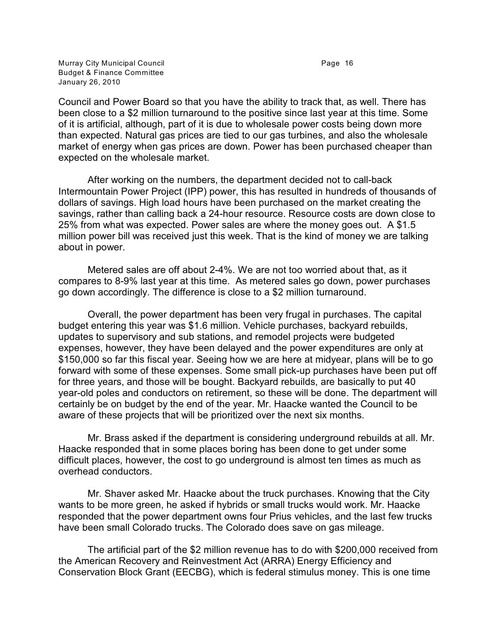Murray City Municipal Council **Accord Page 16** Page 16 Budget & Finance Committee January 26, 2010

Council and Power Board so that you have the ability to track that, as well. There has been close to a \$2 million turnaround to the positive since last year at this time. Some of it is artificial, although, part of it is due to wholesale power costs being down more than expected. Natural gas prices are tied to our gas turbines, and also the wholesale market of energy when gas prices are down. Power has been purchased cheaper than expected on the wholesale market.

After working on the numbers, the department decided not to call-back Intermountain Power Project (IPP) power, this has resulted in hundreds of thousands of dollars of savings. High load hours have been purchased on the market creating the savings, rather than calling back a 24-hour resource. Resource costs are down close to 25% from what was expected. Power sales are where the money goes out. A \$1.5 million power bill was received just this week. That is the kind of money we are talking about in power.

Metered sales are off about 2-4%. We are not too worried about that, as it compares to 8-9% last year at this time. As metered sales go down, power purchases go down accordingly. The difference is close to a \$2 million turnaround.

Overall, the power department has been very frugal in purchases. The capital budget entering this year was \$1.6 million. Vehicle purchases, backyard rebuilds, updates to supervisory and sub stations, and remodel projects were budgeted expenses, however, they have been delayed and the power expenditures are only at \$150,000 so far this fiscal year. Seeing how we are here at midyear, plans will be to go forward with some of these expenses. Some small pick-up purchases have been put off for three years, and those will be bought. Backyard rebuilds, are basically to put 40 year-old poles and conductors on retirement, so these will be done. The department will certainly be on budget by the end of the year. Mr. Haacke wanted the Council to be aware of these projects that will be prioritized over the next six months.

Mr. Brass asked if the department is considering underground rebuilds at all. Mr. Haacke responded that in some places boring has been done to get under some difficult places, however, the cost to go underground is almost ten times as much as overhead conductors.

Mr. Shaver asked Mr. Haacke about the truck purchases. Knowing that the City wants to be more green, he asked if hybrids or small trucks would work. Mr. Haacke responded that the power department owns four Prius vehicles, and the last few trucks have been small Colorado trucks. The Colorado does save on gas mileage.

The artificial part of the \$2 million revenue has to do with \$200,000 received from the American Recovery and Reinvestment Act (ARRA) Energy Efficiency and Conservation Block Grant (EECBG), which is federal stimulus money. This is one time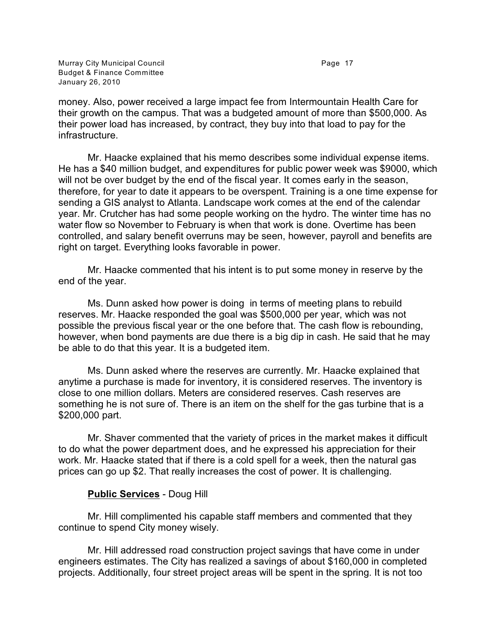Murray City Municipal Council **Accord Page 17** Accord Page 17 Budget & Finance Committee January 26, 2010

money. Also, power received a large impact fee from Intermountain Health Care for their growth on the campus. That was a budgeted amount of more than \$500,000. As their power load has increased, by contract, they buy into that load to pay for the infrastructure.

Mr. Haacke explained that his memo describes some individual expense items. He has a \$40 million budget, and expenditures for public power week was \$9000, which will not be over budget by the end of the fiscal year. It comes early in the season, therefore, for year to date it appears to be overspent. Training is a one time expense for sending a GIS analyst to Atlanta. Landscape work comes at the end of the calendar year. Mr. Crutcher has had some people working on the hydro. The winter time has no water flow so November to February is when that work is done. Overtime has been controlled, and salary benefit overruns may be seen, however, payroll and benefits are right on target. Everything looks favorable in power.

Mr. Haacke commented that his intent is to put some money in reserve by the end of the year.

Ms. Dunn asked how power is doing in terms of meeting plans to rebuild reserves. Mr. Haacke responded the goal was \$500,000 per year, which was not possible the previous fiscal year or the one before that. The cash flow is rebounding, however, when bond payments are due there is a big dip in cash. He said that he may be able to do that this year. It is a budgeted item.

Ms. Dunn asked where the reserves are currently. Mr. Haacke explained that anytime a purchase is made for inventory, it is considered reserves. The inventory is close to one million dollars. Meters are considered reserves. Cash reserves are something he is not sure of. There is an item on the shelf for the gas turbine that is a \$200,000 part.

Mr. Shaver commented that the variety of prices in the market makes it difficult to do what the power department does, and he expressed his appreciation for their work. Mr. Haacke stated that if there is a cold spell for a week, then the natural gas prices can go up \$2. That really increases the cost of power. It is challenging.

# **Public Services** - Doug Hill

Mr. Hill complimented his capable staff members and commented that they continue to spend City money wisely.

Mr. Hill addressed road construction project savings that have come in under engineers estimates. The City has realized a savings of about \$160,000 in completed projects. Additionally, four street project areas will be spent in the spring. It is not too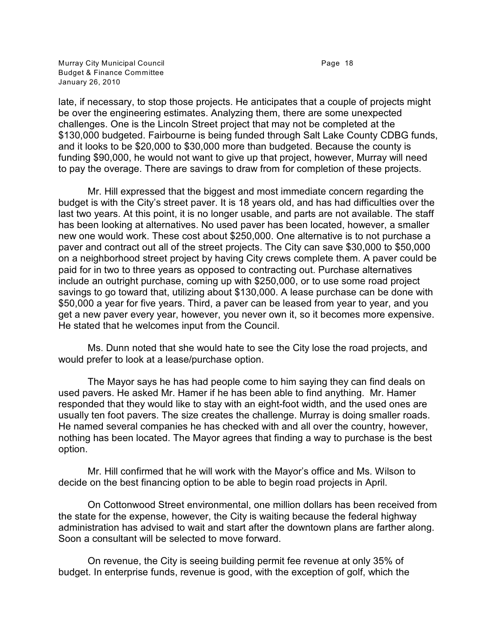Murray City Municipal Council **Accord Page 18** Budget & Finance Committee January 26, 2010

late, if necessary, to stop those projects. He anticipates that a couple of projects might be over the engineering estimates. Analyzing them, there are some unexpected challenges. One is the Lincoln Street project that may not be completed at the \$130,000 budgeted. Fairbourne is being funded through Salt Lake County CDBG funds, and it looks to be \$20,000 to \$30,000 more than budgeted. Because the county is funding \$90,000, he would not want to give up that project, however, Murray will need to pay the overage. There are savings to draw from for completion of these projects.

Mr. Hill expressed that the biggest and most immediate concern regarding the budget is with the City's street paver. It is 18 years old, and has had difficulties over the last two years. At this point, it is no longer usable, and parts are not available. The staff has been looking at alternatives. No used paver has been located, however, a smaller new one would work. These cost about \$250,000. One alternative is to not purchase a paver and contract out all of the street projects. The City can save \$30,000 to \$50,000 on a neighborhood street project by having City crews complete them. A paver could be paid for in two to three years as opposed to contracting out. Purchase alternatives include an outright purchase, coming up with \$250,000, or to use some road project savings to go toward that, utilizing about \$130,000. A lease purchase can be done with \$50,000 a year for five years. Third, a paver can be leased from year to year, and you get a new paver every year, however, you never own it, so it becomes more expensive. He stated that he welcomes input from the Council.

Ms. Dunn noted that she would hate to see the City lose the road projects, and would prefer to look at a lease/purchase option.

The Mayor says he has had people come to him saying they can find deals on used pavers. He asked Mr. Hamer if he has been able to find anything. Mr. Hamer responded that they would like to stay with an eight-foot width, and the used ones are usually ten foot pavers. The size creates the challenge. Murray is doing smaller roads. He named several companies he has checked with and all over the country, however, nothing has been located. The Mayor agrees that finding a way to purchase is the best option.

Mr. Hill confirmed that he will work with the Mayor's office and Ms. Wilson to decide on the best financing option to be able to begin road projects in April.

On Cottonwood Street environmental, one million dollars has been received from the state for the expense, however, the City is waiting because the federal highway administration has advised to wait and start after the downtown plans are farther along. Soon a consultant will be selected to move forward.

On revenue, the City is seeing building permit fee revenue at only 35% of budget. In enterprise funds, revenue is good, with the exception of golf, which the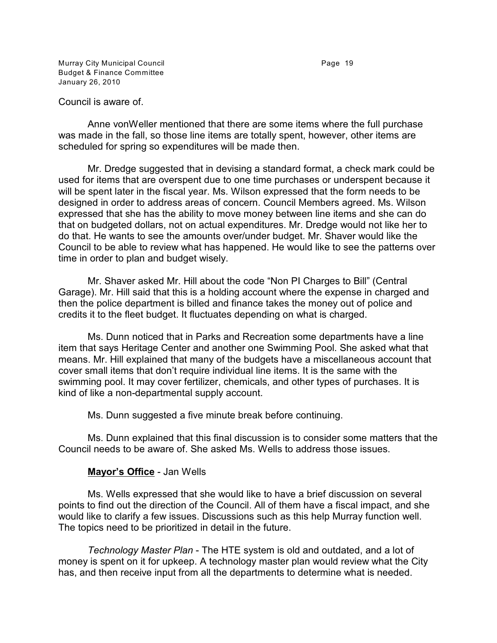Murray City Municipal Council **Accord Page 19** Page 19 Budget & Finance Committee January 26, 2010

Anne vonWeller mentioned that there are some items where the full purchase was made in the fall, so those line items are totally spent, however, other items are scheduled for spring so expenditures will be made then.

Mr. Dredge suggested that in devising a standard format, a check mark could be used for items that are overspent due to one time purchases or underspent because it will be spent later in the fiscal year. Ms. Wilson expressed that the form needs to be designed in order to address areas of concern. Council Members agreed. Ms. Wilson expressed that she has the ability to move money between line items and she can do that on budgeted dollars, not on actual expenditures. Mr. Dredge would not like her to do that. He wants to see the amounts over/under budget. Mr. Shaver would like the Council to be able to review what has happened. He would like to see the patterns over time in order to plan and budget wisely.

Mr. Shaver asked Mr. Hill about the code "Non PI Charges to Bill" (Central Garage). Mr. Hill said that this is a holding account where the expense in charged and then the police department is billed and finance takes the money out of police and credits it to the fleet budget. It fluctuates depending on what is charged.

Ms. Dunn noticed that in Parks and Recreation some departments have a line item that says Heritage Center and another one Swimming Pool. She asked what that means. Mr. Hill explained that many of the budgets have a miscellaneous account that cover small items that don't require individual line items. It is the same with the swimming pool. It may cover fertilizer, chemicals, and other types of purchases. It is kind of like a non-departmental supply account.

Ms. Dunn suggested a five minute break before continuing.

Ms. Dunn explained that this final discussion is to consider some matters that the Council needs to be aware of. She asked Ms. Wells to address those issues.

# **Mayor's Office** - Jan Wells

Ms. Wells expressed that she would like to have a brief discussion on several points to find out the direction of the Council. All of them have a fiscal impact, and she would like to clarify a few issues. Discussions such as this help Murray function well. The topics need to be prioritized in detail in the future.

*Technology Master Plan* - The HTE system is old and outdated, and a lot of money is spent on it for upkeep. A technology master plan would review what the City has, and then receive input from all the departments to determine what is needed.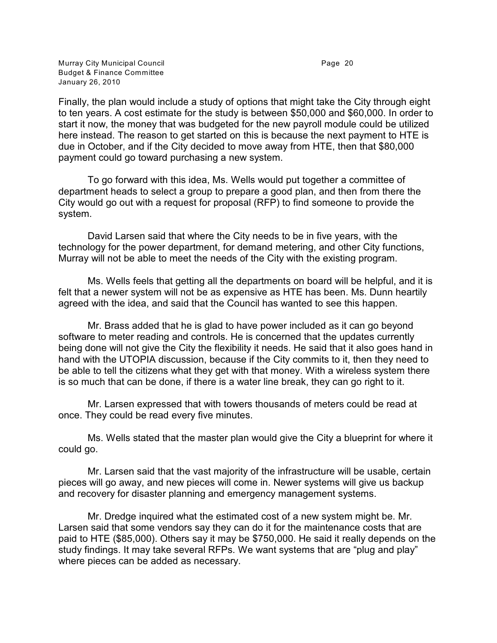Murray City Municipal Council **Accord Page 20** Page 20 Budget & Finance Committee January 26, 2010

Finally, the plan would include a study of options that might take the City through eight to ten years. A cost estimate for the study is between \$50,000 and \$60,000. In order to start it now, the money that was budgeted for the new payroll module could be utilized here instead. The reason to get started on this is because the next payment to HTE is due in October, and if the City decided to move away from HTE, then that \$80,000 payment could go toward purchasing a new system.

To go forward with this idea, Ms. Wells would put together a committee of department heads to select a group to prepare a good plan, and then from there the City would go out with a request for proposal (RFP) to find someone to provide the system.

David Larsen said that where the City needs to be in five years, with the technology for the power department, for demand metering, and other City functions, Murray will not be able to meet the needs of the City with the existing program.

Ms. Wells feels that getting all the departments on board will be helpful, and it is felt that a newer system will not be as expensive as HTE has been. Ms. Dunn heartily agreed with the idea, and said that the Council has wanted to see this happen.

Mr. Brass added that he is glad to have power included as it can go beyond software to meter reading and controls. He is concerned that the updates currently being done will not give the City the flexibility it needs. He said that it also goes hand in hand with the UTOPIA discussion, because if the City commits to it, then they need to be able to tell the citizens what they get with that money. With a wireless system there is so much that can be done, if there is a water line break, they can go right to it.

Mr. Larsen expressed that with towers thousands of meters could be read at once. They could be read every five minutes.

Ms. Wells stated that the master plan would give the City a blueprint for where it could go.

Mr. Larsen said that the vast majority of the infrastructure will be usable, certain pieces will go away, and new pieces will come in. Newer systems will give us backup and recovery for disaster planning and emergency management systems.

Mr. Dredge inquired what the estimated cost of a new system might be. Mr. Larsen said that some vendors say they can do it for the maintenance costs that are paid to HTE (\$85,000). Others say it may be \$750,000. He said it really depends on the study findings. It may take several RFPs. We want systems that are "plug and play" where pieces can be added as necessary.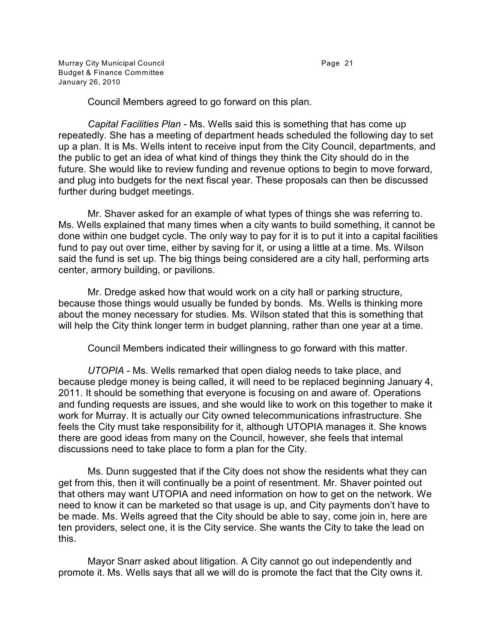Murray City Municipal Council **Exercise 21** Page 21 Budget & Finance Committee January 26, 2010

Council Members agreed to go forward on this plan.

*Capital Facilities Plan* - Ms. Wells said this is something that has come up repeatedly. She has a meeting of department heads scheduled the following day to set up a plan. It is Ms. Wells intent to receive input from the City Council, departments, and the public to get an idea of what kind of things they think the City should do in the future. She would like to review funding and revenue options to begin to move forward, and plug into budgets for the next fiscal year. These proposals can then be discussed further during budget meetings.

Mr. Shaver asked for an example of what types of things she was referring to. Ms. Wells explained that many times when a city wants to build something, it cannot be done within one budget cycle. The only way to pay for it is to put it into a capital facilities fund to pay out over time, either by saving for it, or using a little at a time. Ms. Wilson said the fund is set up. The big things being considered are a city hall, performing arts center, armory building, or pavilions.

Mr. Dredge asked how that would work on a city hall or parking structure, because those things would usually be funded by bonds. Ms. Wells is thinking more about the money necessary for studies. Ms. Wilson stated that this is something that will help the City think longer term in budget planning, rather than one year at a time.

Council Members indicated their willingness to go forward with this matter.

*UTOPIA* - Ms. Wells remarked that open dialog needs to take place, and because pledge money is being called, it will need to be replaced beginning January 4, 2011. It should be something that everyone is focusing on and aware of. Operations and funding requests are issues, and she would like to work on this together to make it work for Murray. It is actually our City owned telecommunications infrastructure. She feels the City must take responsibility for it, although UTOPIA manages it. She knows there are good ideas from many on the Council, however, she feels that internal discussions need to take place to form a plan for the City.

Ms. Dunn suggested that if the City does not show the residents what they can get from this, then it will continually be a point of resentment. Mr. Shaver pointed out that others may want UTOPIA and need information on how to get on the network. We need to know it can be marketed so that usage is up, and City payments don't have to be made. Ms. Wells agreed that the City should be able to say, come join in, here are ten providers, select one, it is the City service. She wants the City to take the lead on this.

Mayor Snarr asked about litigation. A City cannot go out independently and promote it. Ms. Wells says that all we will do is promote the fact that the City owns it.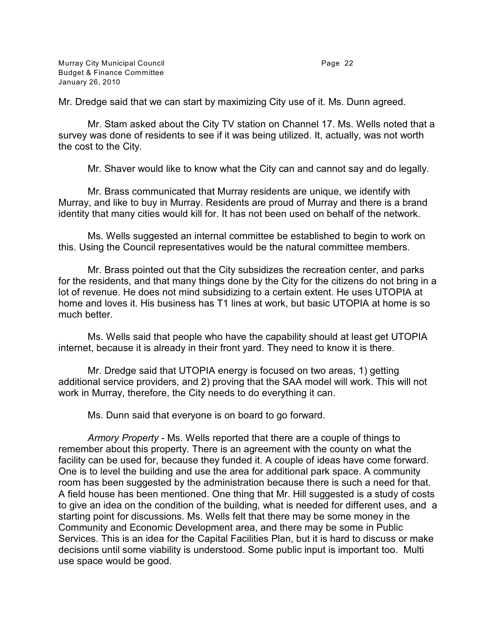Mr. Dredge said that we can start by maximizing City use of it. Ms. Dunn agreed.

Mr. Stam asked about the City TV station on Channel 17. Ms. Wells noted that a survey was done of residents to see if it was being utilized. It, actually, was not worth the cost to the City.

Mr. Shaver would like to know what the City can and cannot say and do legally.

Mr. Brass communicated that Murray residents are unique, we identify with Murray, and like to buy in Murray. Residents are proud of Murray and there is a brand identity that many cities would kill for. It has not been used on behalf of the network.

Ms. Wells suggested an internal committee be established to begin to work on this. Using the Council representatives would be the natural committee members.

Mr. Brass pointed out that the City subsidizes the recreation center, and parks for the residents, and that many things done by the City for the citizens do not bring in a lot of revenue. He does not mind subsidizing to a certain extent. He uses UTOPIA at home and loves it. His business has T1 lines at work, but basic UTOPIA at home is so much better.

Ms. Wells said that people who have the capability should at least get UTOPIA internet, because it is already in their front yard. They need to know it is there.

Mr. Dredge said that UTOPIA energy is focused on two areas, 1) getting additional service providers, and 2) proving that the SAA model will work. This will not work in Murray, therefore, the City needs to do everything it can.

Ms. Dunn said that everyone is on board to go forward.

*Armory Property* - Ms. Wells reported that there are a couple of things to remember about this property. There is an agreement with the county on what the facility can be used for, because they funded it. A couple of ideas have come forward. One is to level the building and use the area for additional park space. A community room has been suggested by the administration because there is such a need for that. A field house has been mentioned. One thing that Mr. Hill suggested is a study of costs to give an idea on the condition of the building, what is needed for different uses, and a starting point for discussions. Ms. Wells felt that there may be some money in the Community and Economic Development area, and there may be some in Public Services. This is an idea for the Capital Facilities Plan, but it is hard to discuss or make decisions until some viability is understood. Some public input is important too. Multi use space would be good.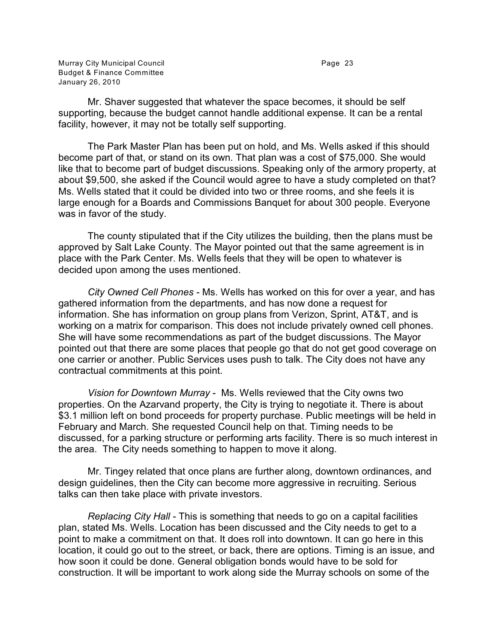Mr. Shaver suggested that whatever the space becomes, it should be self supporting, because the budget cannot handle additional expense. It can be a rental facility, however, it may not be totally self supporting.

The Park Master Plan has been put on hold, and Ms. Wells asked if this should become part of that, or stand on its own. That plan was a cost of \$75,000. She would like that to become part of budget discussions. Speaking only of the armory property, at about \$9,500, she asked if the Council would agree to have a study completed on that? Ms. Wells stated that it could be divided into two or three rooms, and she feels it is large enough for a Boards and Commissions Banquet for about 300 people. Everyone was in favor of the study.

The county stipulated that if the City utilizes the building, then the plans must be approved by Salt Lake County. The Mayor pointed out that the same agreement is in place with the Park Center. Ms. Wells feels that they will be open to whatever is decided upon among the uses mentioned.

*City Owned Cell Phones* - Ms. Wells has worked on this for over a year, and has gathered information from the departments, and has now done a request for information. She has information on group plans from Verizon, Sprint, AT&T, and is working on a matrix for comparison. This does not include privately owned cell phones. She will have some recommendations as part of the budget discussions. The Mayor pointed out that there are some places that people go that do not get good coverage on one carrier or another. Public Services uses push to talk. The City does not have any contractual commitments at this point.

*Vision for Downtown Murray* - Ms. Wells reviewed that the City owns two properties. On the Azarvand property, the City is trying to negotiate it. There is about \$3.1 million left on bond proceeds for property purchase. Public meetings will be held in February and March. She requested Council help on that. Timing needs to be discussed, for a parking structure or performing arts facility. There is so much interest in the area. The City needs something to happen to move it along.

Mr. Tingey related that once plans are further along, downtown ordinances, and design guidelines, then the City can become more aggressive in recruiting. Serious talks can then take place with private investors.

*Replacing City Hall* - This is something that needs to go on a capital facilities plan, stated Ms. Wells. Location has been discussed and the City needs to get to a point to make a commitment on that. It does roll into downtown. It can go here in this location, it could go out to the street, or back, there are options. Timing is an issue, and how soon it could be done. General obligation bonds would have to be sold for construction. It will be important to work along side the Murray schools on some of the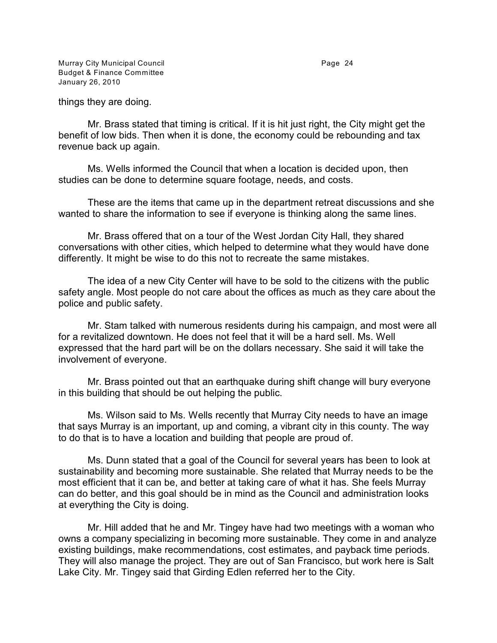Murray City Municipal Council **Accord Page 24** Page 24 Budget & Finance Committee January 26, 2010

things they are doing.

Mr. Brass stated that timing is critical. If it is hit just right, the City might get the benefit of low bids. Then when it is done, the economy could be rebounding and tax revenue back up again.

Ms. Wells informed the Council that when a location is decided upon, then studies can be done to determine square footage, needs, and costs.

These are the items that came up in the department retreat discussions and she wanted to share the information to see if everyone is thinking along the same lines.

Mr. Brass offered that on a tour of the West Jordan City Hall, they shared conversations with other cities, which helped to determine what they would have done differently. It might be wise to do this not to recreate the same mistakes.

The idea of a new City Center will have to be sold to the citizens with the public safety angle. Most people do not care about the offices as much as they care about the police and public safety.

Mr. Stam talked with numerous residents during his campaign, and most were all for a revitalized downtown. He does not feel that it will be a hard sell. Ms. Well expressed that the hard part will be on the dollars necessary. She said it will take the involvement of everyone.

Mr. Brass pointed out that an earthquake during shift change will bury everyone in this building that should be out helping the public.

Ms. Wilson said to Ms. Wells recently that Murray City needs to have an image that says Murray is an important, up and coming, a vibrant city in this county. The way to do that is to have a location and building that people are proud of.

Ms. Dunn stated that a goal of the Council for several years has been to look at sustainability and becoming more sustainable. She related that Murray needs to be the most efficient that it can be, and better at taking care of what it has. She feels Murray can do better, and this goal should be in mind as the Council and administration looks at everything the City is doing.

Mr. Hill added that he and Mr. Tingey have had two meetings with a woman who owns a company specializing in becoming more sustainable. They come in and analyze existing buildings, make recommendations, cost estimates, and payback time periods. They will also manage the project. They are out of San Francisco, but work here is Salt Lake City. Mr. Tingey said that Girding Edlen referred her to the City.